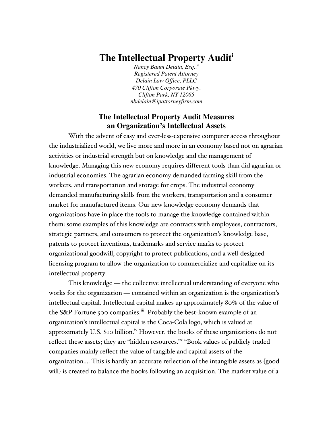# **The Intellectual Property Auditi**

*Nancy Baum Delain, Esq..ii Registered Patent Attorney Delain Law Office, PLLC 470 Clifton Corporate Pkwy. Clifton Park, NY 12065 nbdelain@ipattorneyfirm.com*

# **The Intellectual Property Audit Measures an Organization's Intellectual Assets**

With the advent of easy and ever-less-expensive computer access throughout the industrialized world, we live more and more in an economy based not on agrarian activities or industrial strength but on knowledge and the management of knowledge. Managing this new economy requires different tools than did agrarian or industrial economies. The agrarian economy demanded farming skill from the workers, and transportation and storage for crops. The industrial economy demanded manufacturing skills from the workers, transportation and a consumer market for manufactured items. Our new knowledge economy demands that organizations have in place the tools to manage the knowledge contained within them: some examples of this knowledge are contracts with employees, contractors, strategic partners, and consumers to protect the organization's knowledge base, patents to protect inventions, trademarks and service marks to protect organizational goodwill, copyright to protect publications, and a well-designed licensing program to allow the organization to commercialize and capitalize on its intellectual property.

This knowledge — the collective intellectual understanding of everyone who works for the organization — contained within an organization is the organization's intellectual capital. Intellectual capital makes up approximately 80% of the value of the S&P Fortune 500 companies.<sup>iii</sup> Probably the best-known example of an organization's intellectual capital is the Coca-Cola logo, which is valued at approximately U.S. \$10 billion.<sup>iv</sup> However, the books of these organizations do not reflect these assets; they are "hidden resources."<sup>w</sup> "Book values of publicly traded companies mainly reflect the value of tangible and capital assets of the organization.... This is hardly an accurate reflection of the intangible assets as [good will] is created to balance the books following an acquisition. The market value of a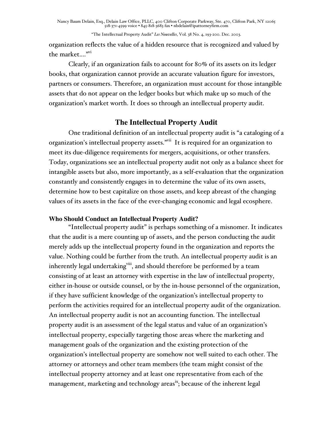organization reflects the value of a hidden resource that is recognized and valued by the market...."vi

Clearly, if an organization fails to account for 80% of its assets on its ledger books, that organization cannot provide an accurate valuation figure for investors, partners or consumers. Therefore, an organization must account for those intangible assets that do not appear on the ledger books but which make up so much of the organization's market worth. It does so through an intellectual property audit.

# **The Intellectual Property Audit**

One traditional definition of an intellectual property audit is "a cataloging of a organization's intellectual property assets."<sup>vii</sup> It is required for an organization to meet its due-diligence requirements for mergers, acquisitions, or other transfers. Today, organizations see an intellectual property audit not only as a balance sheet for intangible assets but also, more importantly, as a self-evaluation that the organization constantly and consistently engages in to determine the value of its own assets, determine how to best capitalize on those assets, and keep abreast of the changing values of its assets in the face of the ever-changing economic and legal ecosphere.

## **Who Should Conduct an Intellectual Property Audit?**

"Intellectual property audit" is perhaps something of a misnomer. It indicates that the audit is a mere counting up of assets, and the person conducting the audit merely adds up the intellectual property found in the organization and reports the value. Nothing could be further from the truth. An intellectual property audit is an inherently legal undertaking $^{\text{viii}}$ , and should therefore be performed by a team consisting of at least an attorney with expertise in the law of intellectual property, either in-house or outside counsel, or by the in-house personnel of the organization, if they have sufficient knowledge of the organization's intellectual property to perform the activities required for an intellectual property audit of the organization. An intellectual property audit is not an accounting function. The intellectual property audit is an assessment of the legal status and value of an organization's intellectual property, especially targeting those areas where the marketing and management goals of the organization and the existing protection of the organization's intellectual property are somehow not well suited to each other. The attorney or attorneys and other team members (the team might consist of the intellectual property attorney and at least one representative from each of the management, marketing and technology areas<sup>ix</sup>; because of the inherent legal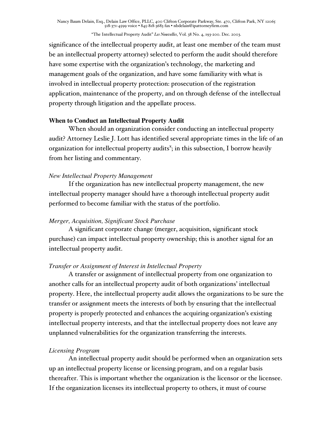"The Intellectual Property Audit" *Les Nouvelles*, Vol. 38 No. 4, 193-200. Dec. 2003.

significance of the intellectual property audit, at least one member of the team must be an intellectual property attorney) selected to perform the audit should therefore have some expertise with the organization's technology, the marketing and management goals of the organization, and have some familiarity with what is involved in intellectual property protection: prosecution of the registration application, maintenance of the property, and on through defense of the intellectual property through litigation and the appellate process.

#### **When to Conduct an Intellectual Property Audit**

When should an organization consider conducting an intellectual property audit? Attorney Leslie J. Lott has identified several appropriate times in the life of an organization for intellectual property audits<sup>x</sup>; in this subsection, I borrow heavily from her listing and commentary.

#### *New Intellectual Property Management*

If the organization has new intellectual property management, the new intellectual property manager should have a thorough intellectual property audit performed to become familiar with the status of the portfolio.

#### *Merger, Acquisition, Significant Stock Purchase*

A significant corporate change (merger, acquisition, significant stock purchase) can impact intellectual property ownership; this is another signal for an intellectual property audit.

#### *Transfer or Assignment of Interest in Intellectual Property*

A transfer or assignment of intellectual property from one organization to another calls for an intellectual property audit of both organizations' intellectual property. Here, the intellectual property audit allows the organizations to be sure the transfer or assignment meets the interests of both by ensuring that the intellectual property is properly protected and enhances the acquiring organization's existing intellectual property interests, and that the intellectual property does not leave any unplanned vulnerabilities for the organization transferring the interests.

#### *Licensing Program*

An intellectual property audit should be performed when an organization sets up an intellectual property license or licensing program, and on a regular basis thereafter. This is important whether the organization is the licensor or the licensee. If the organization licenses its intellectual property to others, it must of course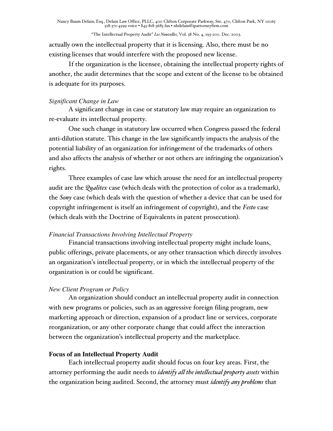actually own the intellectual property that it is licensing. Also, there must be no existing licenses that would interfere with the proposed new license.

If the organization is the licensee, obtaining the intellectual property rights of another, the audit determines that the scope and extent of the license to be obtained is adequate for its purposes.

#### *Significant Change in Law*

A significant change in case or statutory law may require an organization to re-evaluate its intellectual property.

One such change in statutory law occurred when Congress passed the federal anti-dilution statute. This change in the law significantly impacts the analysis of the potential liability of an organization for infringement of the trademarks of others and also affects the analysis of whether or not others are infringing the organization's rights.

Three examples of case law which arouse the need for an intellectual property audit are the *Qualitex* case (which deals with the protection of color as a trademark), the *Sony* case (which deals with the question of whether a device that can be used for copyright infringement is itself an infringement of copyright), and the *Festo* case (which deals with the Doctrine of Equivalents in patent prosecution).

## *Financial Transactions Involving Intellectual Property*

Financial transactions involving intellectual property might include loans, public offerings, private placements, or any other transaction which directly involves an organization's intellectual property, or in which the intellectual property of the organization is or could be significant.

## *New Client Program or Policy*

An organization should conduct an intellectual property audit in connection with new programs or policies, such as an aggressive foreign filing program, new marketing approach or direction, expansion of a product line or services, corporate reorganization, or any other corporate change that could affect the interaction between the organization's intellectual property and the marketplace.

#### **Focus of an Intellectual Property Audit**

Each intellectual property audit should focus on four key areas. First, the attorney performing the audit needs to *identify all the intellectual property assets* within the organization being audited. Second, the attorney must *identify any problems* that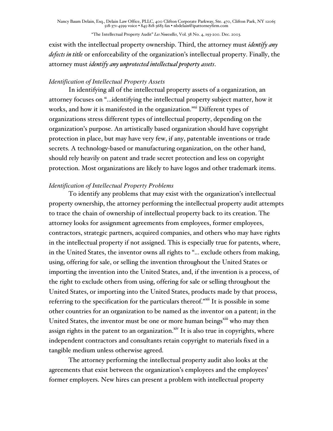"The Intellectual Property Audit" *Les Nouvelles*, Vol. 38 No. 4, 193-200. Dec. 2003.

exist with the intellectual property ownership. Third, the attorney must *identify any defects in title* or enforceability of the organization's intellectual property. Finally, the attorney must *identify any unprotected intellectual property assets*.

#### *Identification of Intellectual Property Assets*

In identifying all of the intellectual property assets of a organization, an attorney focuses on "...identifying the intellectual property subject matter, how it works, and how it is manifested in the organization."<sup>xi</sup> Different types of organizations stress different types of intellectual property, depending on the organization's purpose. An artistically based organization should have copyright protection in place, but may have very few, if any, patentable inventions or trade secrets. A technology-based or manufacturing organization, on the other hand, should rely heavily on patent and trade secret protection and less on copyright protection. Most organizations are likely to have logos and other trademark items.

#### *Identification of Intellectual Property Problems*

To identify any problems that may exist with the organization's intellectual property ownership, the attorney performing the intellectual property audit attempts to trace the chain of ownership of intellectual property back to its creation. The attorney looks for assignment agreements from employees, former employees, contractors, strategic partners, acquired companies, and others who may have rights in the intellectual property if not assigned. This is especially true for patents, where, in the United States, the inventor owns all rights to "... exclude others from making, using, offering for sale, or selling the invention throughout the United States or importing the invention into the United States, and, if the invention is a process, of the right to exclude others from using, offering for sale or selling throughout the United States, or importing into the United States, products made by that process, referring to the specification for the particulars thereof."<sup>xii</sup> It is possible in some other countries for an organization to be named as the inventor on a patent; in the United States, the inventor must be one or more human beings<sup>xiii</sup> who may then assign rights in the patent to an organization. $^{\mathrm{xiv}}$  It is also true in copyrights, where independent contractors and consultants retain copyright to materials fixed in a tangible medium unless otherwise agreed.

The attorney performing the intellectual property audit also looks at the agreements that exist between the organization's employees and the employees' former employers. New hires can present a problem with intellectual property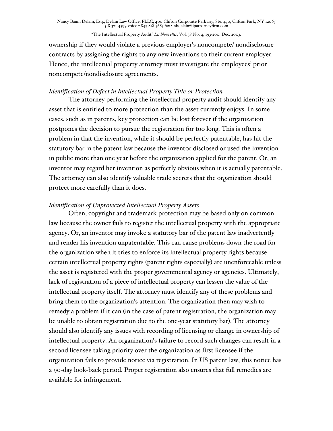ownership if they would violate a previous employer's noncompete/ nondisclosure contracts by assigning the rights to any new inventions to their current employer. Hence, the intellectual property attorney must investigate the employees' prior noncompete/nondisclosure agreements.

#### *Identification of Defect in Intellectual Property Title or Protection*

The attorney performing the intellectual property audit should identify any asset that is entitled to more protection than the asset currently enjoys. In some cases, such as in patents, key protection can be lost forever if the organization postpones the decision to pursue the registration for too long. This is often a problem in that the invention, while it should be perfectly patentable, has hit the statutory bar in the patent law because the inventor disclosed or used the invention in public more than one year before the organization applied for the patent. Or, an inventor may regard her invention as perfectly obvious when it is actually patentable. The attorney can also identify valuable trade secrets that the organization should protect more carefully than it does.

## *Identification of Unprotected Intellectual Property Assets*

Often, copyright and trademark protection may be based only on common law because the owner fails to register the intellectual property with the appropriate agency. Or, an inventor may invoke a statutory bar of the patent law inadvertently and render his invention unpatentable. This can cause problems down the road for the organization when it tries to enforce its intellectual property rights because certain intellectual property rights (patent rights especially) are unenforceable unless the asset is registered with the proper governmental agency or agencies. Ultimately, lack of registration of a piece of intellectual property can lessen the value of the intellectual property itself. The attorney must identify any of these problems and bring them to the organization's attention. The organization then may wish to remedy a problem if it can (in the case of patent registration, the organization may be unable to obtain registration due to the one-year statutory bar). The attorney should also identify any issues with recording of licensing or change in ownership of intellectual property. An organization's failure to record such changes can result in a second licensee taking priority over the organization as first licensee if the organization fails to provide notice via registration. In US patent law, this notice has a 90-day look-back period. Proper registration also ensures that full remedies are available for infringement.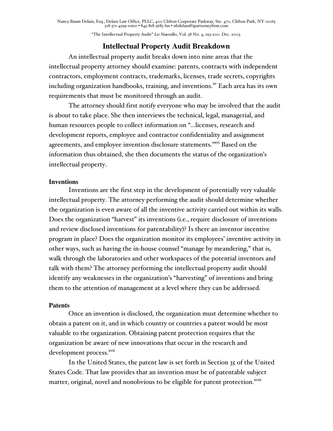"The Intellectual Property Audit" *Les Nouvelles*, Vol. 38 No. 4, 193-200. Dec. 2003.

## **Intellectual Property Audit Breakdown**

An intellectual property audit breaks down into nine areas that the intellectual property attorney should examine: patents, contracts with independent contractors, employment contracts, trademarks, licenses, trade secrets, copyrights including organization handbooks, training, and inventions. $^{\mathrm{sv}}$  Each area has its own requirements that must be monitored through an audit.

The attorney should first notify everyone who may be involved that the audit is about to take place. She then interviews the technical, legal, managerial, and human resources people to collect information on "...licenses, research and development reports, employee and contractor confidentiality and assignment agreements, and employee invention disclosure statements."<sup>xxvi</sup> Based on the information thus obtained, she then documents the status of the organization's intellectual property.

#### **Inventions**

Inventions are the first step in the development of potentially very valuable intellectual property. The attorney performing the audit should determine whether the organization is even aware of all the inventive activity carried out within its walls. Does the organization "harvest" its inventions (i.e., require disclosure of inventions and review disclosed inventions for patentability)? Is there an inventor incentive program in place? Does the organization monitor its employees' inventive activity in other ways, such as having the in-house counsel "manage by meandering," that is, walk through the laboratories and other workspaces of the potential inventors and talk with them? The attorney performing the intellectual property audit should identify any weaknesses in the organization's "harvesting" of inventions and bring them to the attention of management at a level where they can be addressed.

#### **Patents**

Once an invention is disclosed, the organization must determine whether to obtain a patent on it, and in which country or countries a patent would be most valuable to the organization. Obtaining patent protection requires that the organization be aware of new innovations that occur in the research and development process.<sup>xvii</sup>

In the United States, the patent law is set forth in Section 35 of the United States Code. That law provides that an invention must be of patentable subject matter, original, novel and nonobvious to be eligible for patent protection.<sup>xviii</sup>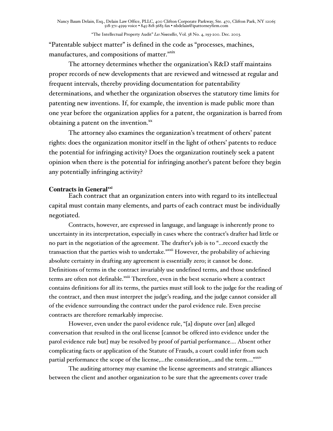"Patentable subject matter" is defined in the code as "processes, machines, manufactures, and compositions of matter."xix

The attorney determines whether the organization's R&D staff maintains proper records of new developments that are reviewed and witnessed at regular and frequent intervals, thereby providing documentation for patentability determinations, and whether the organization observes the statutory time limits for patenting new inventions. If, for example, the invention is made public more than one year before the organization applies for a patent, the organization is barred from obtaining a patent on the invention. $x$ 

The attorney also examines the organization's treatment of others' patent rights: does the organization monitor itself in the light of others' patents to reduce the potential for infringing activity? Does the organization routinely seek a patent opinion when there is the potential for infringing another's patent before they begin any potentially infringing activity?

#### **Contracts in Generalxxi**

Each contract that an organization enters into with regard to its intellectual capital must contain many elements, and parts of each contract must be individually negotiated.

Contracts, however, are expressed in language, and language is inherently prone to uncertainty in its interpretation, especially in cases where the contract's drafter had little or no part in the negotiation of the agreement. The drafter's job is to "...record exactly the transaction that the parties wish to undertake." XXXII However, the probability of achieving absolute certainty in drafting any agreement is essentially zero; it cannot be done. Definitions of terms in the contract invariably use undefined terms, and those undefined terms are often not definable.<sup>xxiii</sup> Therefore, even in the best scenario where a contract contains definitions for all its terms, the parties must still look to the judge for the reading of the contract, and then must interpret the judge's reading, and the judge cannot consider all of the evidence surrounding the contract under the parol evidence rule. Even precise contracts are therefore remarkably imprecise.

However, even under the parol evidence rule, "[a] dispute over [an] alleged conversation that resulted in the oral license [cannot be offered into evidence under the parol evidence rule but] may be resolved by proof of partial performance.... Absent other complicating facts or application of the Statute of Frauds, a court could infer from such partial performance the scope of the license,...the consideration,...and the term...."xxiv

The auditing attorney may examine the license agreements and strategic alliances between the client and another organization to be sure that the agreements cover trade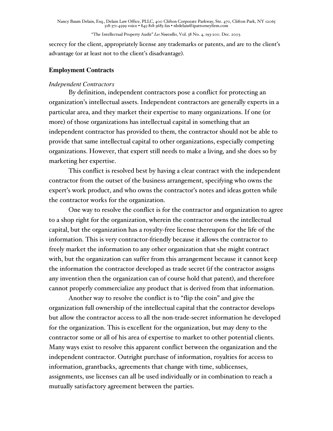"The Intellectual Property Audit" *Les Nouvelles*, Vol. 38 No. 4, 193-200. Dec. 2003.

secrecy for the client, appropriately license any trademarks or patents, and are to the client's advantage (or at least not to the client's disadvantage).

#### **Employment Contracts**

#### *Independent Contractors*

By definition, independent contractors pose a conflict for protecting an organization's intellectual assets. Independent contractors are generally experts in a particular area, and they market their expertise to many organizations. If one (or more) of those organizations has intellectual capital in something that an independent contractor has provided to them, the contractor should not be able to provide that same intellectual capital to other organizations, especially competing organizations. However, that expert still needs to make a living, and she does so by marketing her expertise.

This conflict is resolved best by having a clear contract with the independent contractor from the outset of the business arrangement, specifying who owns the expert's work product, and who owns the contractor's notes and ideas gotten while the contractor works for the organization.

One way to resolve the conflict is for the contractor and organization to agree to a shop right for the organization, wherein the contractor owns the intellectual capital, but the organization has a royalty-free license thereupon for the life of the information. This is very contractor-friendly because it allows the contractor to freely market the information to any other organization that she might contract with, but the organization can suffer from this arrangement because it cannot keep the information the contractor developed as trade secret (if the contractor assigns any invention then the organization can of course hold that patent), and therefore cannot properly commercialize any product that is derived from that information.

Another way to resolve the conflict is to "flip the coin" and give the organization full ownership of the intellectual capital that the contractor develops but allow the contractor access to all the non-trade-secret information he developed for the organization. This is excellent for the organization, but may deny to the contractor some or all of his area of expertise to market to other potential clients. Many ways exist to resolve this apparent conflict between the organization and the independent contractor. Outright purchase of information, royalties for access to information, grantbacks, agreements that change with time, sublicenses, assignments, use licenses can all be used individually or in combination to reach a mutually satisfactory agreement between the parties.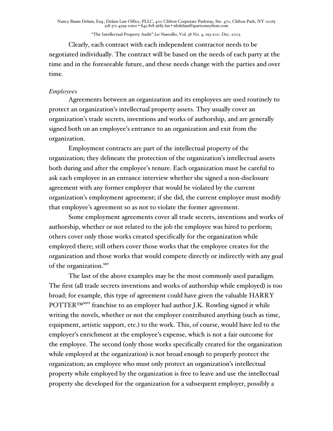Clearly, each contract with each independent contractor needs to be negotiated individually. The contract will be based on the needs of each party at the time and in the foreseeable future, and these needs change with the parties and over time.

#### *Employees*

Agreements between an organization and its employees are used routinely to protect an organization's intellectual property assets. They usually cover an organization's trade secrets, inventions and works of authorship, and are generally signed both on an employee's entrance to an organization and exit from the organization.

Employment contracts are part of the intellectual property of the organization; they delineate the protection of the organization's intellectual assets both during and after the employee's tenure. Each organization must be careful to ask each employee in an entrance interview whether she signed a non-disclosure agreement with any former employer that would be violated by the current organization's employment agreement; if she did, the current employer must modify that employee's agreement so as not to violate the former agreement.

Some employment agreements cover all trade secrets, inventions and works of authorship, whether or not related to the job the employee was hired to perform; others cover only those works created specifically for the organization while employed there; still others cover those works that the employee creates for the organization and those works that would compete directly or indirectly with any goal of the organization.<sup>xxv</sup>

The last of the above examples may be the most commonly used paradigm. The first (all trade secrets inventions and works of authorship while employed) is too broad; for example, this type of agreement could have given the valuable HARRY POTTER™xxvi franchise to an employer had author J.K. Rowling signed it while writing the novels, whether or not the employer contributed anything (such as time, equipment, artistic support, etc.) to the work. This, of course, would have led to the employer's enrichment at the employee's expense, which is not a fair outcome for the employee. The second (only those works specifically created for the organization while employed at the organization) is not broad enough to properly protect the organization; an employee who must only protect an organization's intellectual property while employed by the organization is free to leave and use the intellectual property she developed for the organization for a subsequent employer, possibly a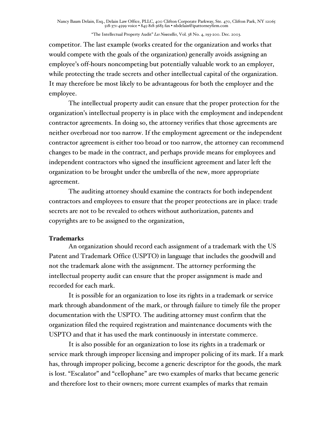competitor. The last example (works created for the organization and works that would compete with the goals of the organization) generally avoids assigning an employee's off-hours noncompeting but potentially valuable work to an employer, while protecting the trade secrets and other intellectual capital of the organization. It may therefore be most likely to be advantageous for both the employer and the employee.

The intellectual property audit can ensure that the proper protection for the organization's intellectual property is in place with the employment and independent contractor agreements. In doing so, the attorney verifies that those agreements are neither overbroad nor too narrow. If the employment agreement or the independent contractor agreement is either too broad or too narrow, the attorney can recommend changes to be made in the contract, and perhaps provide means for employees and independent contractors who signed the insufficient agreement and later left the organization to be brought under the umbrella of the new, more appropriate agreement.

The auditing attorney should examine the contracts for both independent contractors and employees to ensure that the proper protections are in place: trade secrets are not to be revealed to others without authorization, patents and copyrights are to be assigned to the organization,

#### **Trademarks**

An organization should record each assignment of a trademark with the US Patent and Trademark Office (USPTO) in language that includes the goodwill and not the trademark alone with the assignment. The attorney performing the intellectual property audit can ensure that the proper assignment is made and recorded for each mark.

It is possible for an organization to lose its rights in a trademark or service mark through abandonment of the mark, or through failure to timely file the proper documentation with the USPTO. The auditing attorney must confirm that the organization filed the required registration and maintenance documents with the USPTO and that it has used the mark continuously in interstate commerce.

It is also possible for an organization to lose its rights in a trademark or service mark through improper licensing and improper policing of its mark. If a mark has, through improper policing, become a generic descriptor for the goods, the mark is lost. "Escalator" and "cellophane" are two examples of marks that became generic and therefore lost to their owners; more current examples of marks that remain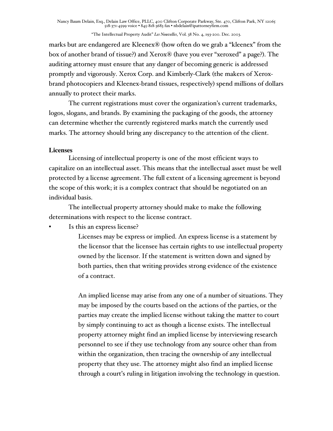marks but are endangered are Kleenex® (how often do we grab a "kleenex" from the box of another brand of tissue?) and Xerox® (have you ever "xeroxed" a page?). The auditing attorney must ensure that any danger of becoming generic is addressed promptly and vigorously. Xerox Corp. and Kimberly-Clark (the makers of Xeroxbrand photocopiers and Kleenex-brand tissues, respectively) spend millions of dollars annually to protect their marks.

The current registrations must cover the organization's current trademarks, logos, slogans, and brands. By examining the packaging of the goods, the attorney can determine whether the currently registered marks match the currently used marks. The attorney should bring any discrepancy to the attention of the client.

## **Licenses**

Licensing of intellectual property is one of the most efficient ways to capitalize on an intellectual asset. This means that the intellectual asset must be well protected by a license agreement. The full extent of a licensing agreement is beyond the scope of this work; it is a complex contract that should be negotiated on an individual basis.

The intellectual property attorney should make to make the following determinations with respect to the license contract.

Is this an express license?

Licenses may be express or implied. An express license is a statement by the licensor that the licensee has certain rights to use intellectual property owned by the licensor. If the statement is written down and signed by both parties, then that writing provides strong evidence of the existence of a contract.

An implied license may arise from any one of a number of situations. They may be imposed by the courts based on the actions of the parties, or the parties may create the implied license without taking the matter to court by simply continuing to act as though a license exists. The intellectual property attorney might find an implied license by interviewing research personnel to see if they use technology from any source other than from within the organization, then tracing the ownership of any intellectual property that they use. The attorney might also find an implied license through a court's ruling in litigation involving the technology in question.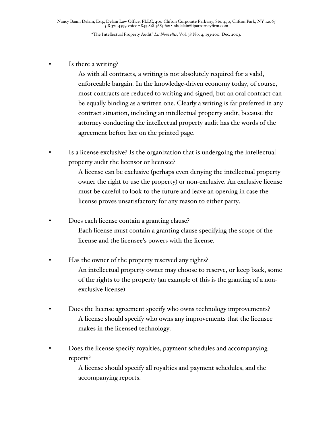#### Is there a writing?

As with all contracts, a writing is not absolutely required for a valid, enforceable bargain. In the knowledge-driven economy today, of course, most contracts are reduced to writing and signed, but an oral contract can be equally binding as a written one. Clearly a writing is far preferred in any contract situation, including an intellectual property audit, because the attorney conducting the intellectual property audit has the words of the agreement before her on the printed page.

Is a license exclusive? Is the organization that is undergoing the intellectual property audit the licensor or licensee?

> A license can be exclusive (perhaps even denying the intellectual property owner the right to use the property) or non-exclusive. An exclusive license must be careful to look to the future and leave an opening in case the license proves unsatisfactory for any reason to either party.

- Does each license contain a granting clause? Each license must contain a granting clause specifying the scope of the license and the licensee's powers with the license.
- Has the owner of the property reserved any rights? An intellectual property owner may choose to reserve, or keep back, some of the rights to the property (an example of this is the granting of a nonexclusive license).
- Does the license agreement specify who owns technology improvements? A license should specify who owns any improvements that the licensee makes in the licensed technology.
- Does the license specify royalties, payment schedules and accompanying reports?

A license should specify all royalties and payment schedules, and the accompanying reports.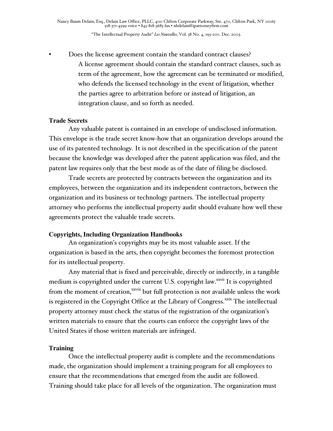• Does the license agreement contain the standard contract clauses? A license agreement should contain the standard contract clauses, such as term of the agreement, how the agreement can be terminated or modified, who defends the licensed technology in the event of litigation, whether the parties agree to arbitration before or instead of litigation, an integration clause, and so forth as needed.

#### **Trade Secrets**

Any valuable patent is contained in an envelope of undisclosed information. This envelope is the trade secret know-how that an organization develops around the use of its patented technology. It is not described in the specification of the patent because the knowledge was developed after the patent application was filed, and the patent law requires only that the best mode as of the date of filing be disclosed.

Trade secrets are protected by contracts between the organization and its employees, between the organization and its independent contractors, between the organization and its business or technology partners. The intellectual property attorney who performs the intellectual property audit should evaluate how well these agreements protect the valuable trade secrets.

#### **Copyrights, Including Organization Handbooks**

An organization's copyrights may be its most valuable asset. If the organization is based in the arts, then copyright becomes the foremost protection for its intellectual property.

Any material that is fixed and perceivable, directly or indirectly, in a tangible medium is copyrighted under the current U.S. copyright law.<sup>xxvii</sup> It is copyrighted from the moment of creation, xxviii but full protection is not available unless the work is registered in the Copyright Office at the Library of Congress. xxix The intellectual property attorney must check the status of the registration of the organization's written materials to ensure that the courts can enforce the copyright laws of the United States if those written materials are infringed.

#### **Training**

Once the intellectual property audit is complete and the recommendations made, the organization should implement a training program for all employees to ensure that the recommendations that emerged from the audit are followed. Training should take place for all levels of the organization. The organization must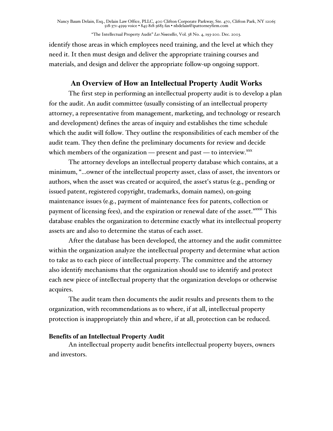"The Intellectual Property Audit" *Les Nouvelles*, Vol. 38 No. 4, 193-200. Dec. 2003.

identify those areas in which employees need training, and the level at which they need it. It then must design and deliver the appropriate training courses and materials, and design and deliver the appropriate follow-up ongoing support.

# **An Overview of How an Intellectual Property Audit Works**

The first step in performing an intellectual property audit is to develop a plan for the audit. An audit committee (usually consisting of an intellectual property attorney, a representative from management, marketing, and technology or research and development) defines the areas of inquiry and establishes the time schedule which the audit will follow. They outline the responsibilities of each member of the audit team. They then define the preliminary documents for review and decide which members of the organization — present and past — to interview. $\frac{xx}{x}$ 

The attorney develops an intellectual property database which contains, at a minimum, "...owner of the intellectual property asset, class of asset, the inventors or authors, when the asset was created or acquired, the asset's status (e.g., pending or issued patent, registered copyright, trademarks, domain names), on-going maintenance issues (e.g., payment of maintenance fees for patents, collection or payment of licensing fees), and the expiration or renewal date of the asset." XXXXi This database enables the organization to determine exactly what its intellectual property assets are and also to determine the status of each asset.

After the database has been developed, the attorney and the audit committee within the organization analyze the intellectual property and determine what action to take as to each piece of intellectual property. The committee and the attorney also identify mechanisms that the organization should use to identify and protect each new piece of intellectual property that the organization develops or otherwise acquires.

The audit team then documents the audit results and presents them to the organization, with recommendations as to where, if at all, intellectual property protection is inappropriately thin and where, if at all, protection can be reduced.

## **Benefits of an Intellectual Property Audit**

An intellectual property audit benefits intellectual property buyers, owners and investors.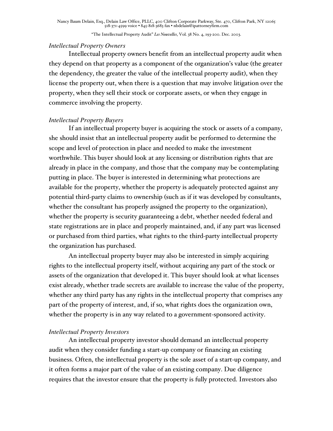#### *Intellectual Property Owners*

Intellectual property owners benefit from an intellectual property audit when they depend on that property as a component of the organization's value (the greater the dependency, the greater the value of the intellectual property audit), when they license the property out, when there is a question that may involve litigation over the property, when they sell their stock or corporate assets, or when they engage in commerce involving the property.

## *Intellectual Property Buyers*

If an intellectual property buyer is acquiring the stock or assets of a company, she should insist that an intellectual property audit be performed to determine the scope and level of protection in place and needed to make the investment worthwhile. This buyer should look at any licensing or distribution rights that are already in place in the company, and those that the company may be contemplating putting in place. The buyer is interested in determining what protections are available for the property, whether the property is adequately protected against any potential third-party claims to ownership (such as if it was developed by consultants, whether the consultant has properly assigned the property to the organization), whether the property is security guaranteeing a debt, whether needed federal and state registrations are in place and properly maintained, and, if any part was licensed or purchased from third parties, what rights to the third-party intellectual property the organization has purchased.

An intellectual property buyer may also be interested in simply acquiring rights to the intellectual property itself, without acquiring any part of the stock or assets of the organization that developed it. This buyer should look at what licenses exist already, whether trade secrets are available to increase the value of the property, whether any third party has any rights in the intellectual property that comprises any part of the property of interest, and, if so, what rights does the organization own, whether the property is in any way related to a government-sponsored activity.

## *Intellectual Property Investors*

An intellectual property investor should demand an intellectual property audit when they consider funding a start-up company or financing an existing business. Often, the intellectual property is the sole asset of a start-up company, and it often forms a major part of the value of an existing company. Due diligence requires that the investor ensure that the property is fully protected. Investors also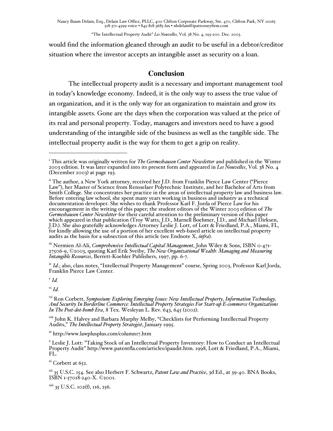"The Intellectual Property Audit" *Les Nouvelles*, Vol. 38 No. 4, 193-200. Dec. 2003.

would find the information gleaned through an audit to be useful in a debtor/creditor situation where the investor accepts an intangible asset as security on a loan.

## **Conclusion**

The intellectual property audit is a necessary and important management tool in today's knowledge economy. Indeed, it is the only way to assess the true value of an organization, and it is the only way for an organization to maintain and grow its intangible assets. Gone are the days when the corporation was valued at the price of its real and personal property. Today, managers and investors need to have a good understanding of the intangible side of the business as well as the tangible side. The intellectual property audit is the way for them to get a grip on reality.

iii Nermien Al-Ali, *Comprehensive Intellectual Capital Management*, John Wiley & Sons, ISBN 0-471- 27506-9, ©2003, quoting Karl Erik Sveiby, *The New Organizational Wealth: Managing and Measuring Intangible Resources*, Berrett-Koehler Publishers, 1997, pp. 6-7.

<sup>iv</sup> *Id.*; also, class notes, "Intellectual Property Management" course, Spring 2003, Professor Karl Jorda,<br>Franklin Pierce Law Center.

<sup>v</sup> *Id.*

 $\overline{a}$ 

vi *Id.*

vii Ron Corbett, Symposium: Exploring Emerging Issues: New Intellectual Property, Information Technology, Ron Corbett, *Symposium: Exploring Emerging Issues: New Intellectual Property, Information Technology, And Security In Borderline Commerce: Intellectual Property Strategies For Start-up E-commerce Organizations In The Post-dot-bomb Era*, 8 Tex. Wesleyan L. Rev. 643, 645 (2002).

<sup>viii</sup> John K. Halvey and Barbara Murphy Melby, "Checklists for Performing Intellectual Property Audits," *The Intellectual Property Strategist*, January 1995.

<sup>ix</sup> http://www.lawplusplus.com/column17.htm

x Leslie J. Lott: "Taking Stock of an Intellectual Property Inventory: How to Conduct an Intellectual Property Audit" http://www.patentfla.com/articles/ipaudit.htm. 1998, Lott & Friedland, P.A., Miami, FL.

<sup>xi</sup> Corbett at 652.

xii 35 U.S.C. 154. See also Herbert F. Schwartz, *Patent Law and Practice*, 3d Ed., at 39-40. BNA Books, ISBN 1-57018-240-X. ©2001.

xiii 35 U.S.C. 102(f), 116, 256.

i This article was originally written for *The Germeshausen Center Newsletter* and published in the Winter 2003 edition. It was later expanded into its present form and appeared in *Les Nouvelles*, Vol. 38 No. 4 (December 2003) at page 193.

ii The author, a New York attorney, received her J.D. from Franklin Pierce Law Center ("Pierce Law"), her Master of Science from Rensselaer Polytechnic Institute, and her Bachelor of Arts from Smith College. She concentrates her practice in the areas of intellectual property law and business law. Before entering law school, she spent many years working in business and industry as a technical documentation developer. She wishes to thank Professor Karl F. Jorda of Pierce Law for his encouragement in the writing of this paper; the student editors of the Winter 2003 edition of *The Germeshausen Center Newsletter* for their careful attention to the preliminary version of this paper which appeared in that publication (Troy Watts, J.D., Marnell Boehmer, J.D., and Michael Dirksen, J.D.). She also gratefully acknowledges Attorney Leslie J. Lott, of Lott & Friedland, P.A., Miami, FL, for kindly allowing the use of a portion of her excellent web-based article on intellectual property audits as the basis for a subsection of this article (see Endnote X, *infra*).